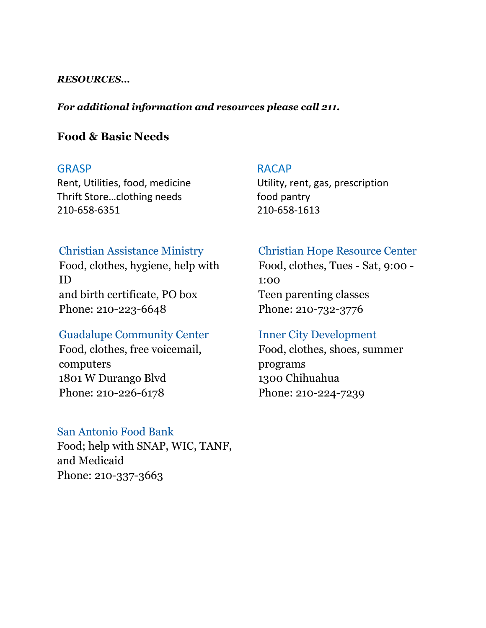#### *RESOURCES…*

#### *For additional information and resources please call 211.*

#### **Food & Basic Needs**

Thrift Store...clothing needs food pantry 210-658-6351 210-658-1613

#### GRASP RACAP

Rent, Utilities, food, medicine Utility, rent, gas, prescription

#### Christian Assistance Ministry

Food, clothes, hygiene, help with ID and birth certificate, PO box Phone: 210-223-6648

#### Guadalupe Community Center

Food, clothes, free voicemail, computers 1801 W Durango Blvd Phone: 210-226-6178

#### San Antonio Food Bank

Food; help with SNAP, WIC, TANF, and Medicaid Phone: 210-337-3663

# Christian Hope Resource Center

Food, clothes, Tues - Sat, 9:00 - 1:00 Teen parenting classes Phone: 210-732-3776

#### Inner City Development

Food, clothes, shoes, summer programs 1300 Chihuahua Phone: 210-224-7239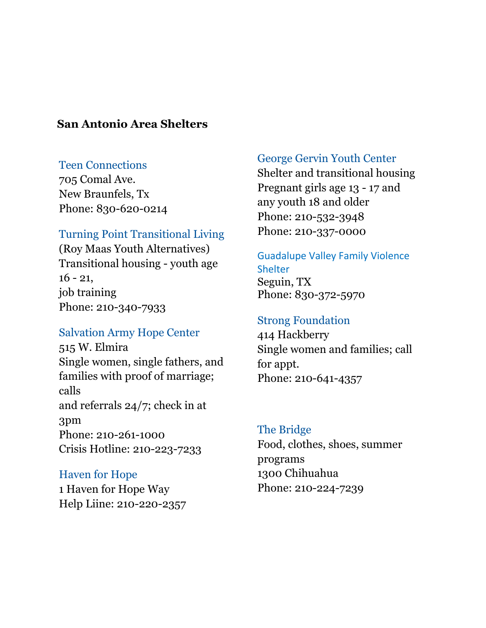# **San Antonio Area Shelters**

#### Teen Connections

705 Comal Ave. New Braunfels, Tx Phone: 830-620-0214

#### Turning Point Transitional Living

(Roy Maas Youth Alternatives) Transitional housing - youth age  $16 - 21$ , job training Phone: 210-340-7933

# Salvation Army Hope Center

515 W. Elmira Single women, single fathers, and families with proof of marriage; calls and referrals 24/7; check in at 3pm Phone: 210-261-1000 Crisis Hotline: 210-223-7233

#### Haven for Hope

1 Haven for Hope Way Help Liine: 210-220-2357

#### George Gervin Youth Center

Shelter and transitional housing Pregnant girls age 13 - 17 and any youth 18 and older Phone: 210-532-3948 Phone: 210-337-0000

#### Guadalupe Valley Family Violence **Shelter**

Seguin, TX Phone: 830-372-5970

# Strong Foundation

414 Hackberry Single women and families; call for appt. Phone: 210-641-4357

# The Bridge

Food, clothes, shoes, summer programs 1300 Chihuahua Phone: 210-224-7239